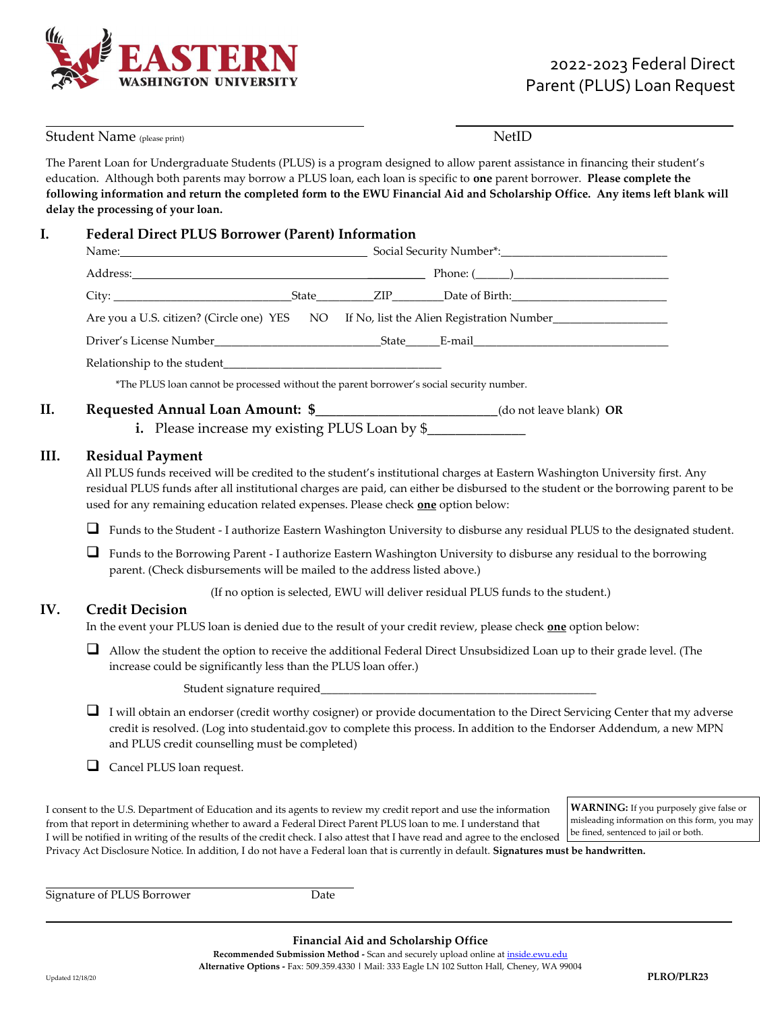

| Student Name (please print) |                                                                                                                                                                                                                                                                                                                                                                                   |                                                                                                                                                                                                                                                                                                                                                                                                                                                                                                        | <b>NetID</b> |                                                                                                                                        |  |
|-----------------------------|-----------------------------------------------------------------------------------------------------------------------------------------------------------------------------------------------------------------------------------------------------------------------------------------------------------------------------------------------------------------------------------|--------------------------------------------------------------------------------------------------------------------------------------------------------------------------------------------------------------------------------------------------------------------------------------------------------------------------------------------------------------------------------------------------------------------------------------------------------------------------------------------------------|--------------|----------------------------------------------------------------------------------------------------------------------------------------|--|
|                             |                                                                                                                                                                                                                                                                                                                                                                                   | The Parent Loan for Undergraduate Students (PLUS) is a program designed to allow parent assistance in financing their student's<br>education. Although both parents may borrow a PLUS loan, each loan is specific to one parent borrower. Please complete the<br>following information and return the completed form to the EWU Financial Aid and Scholarship Office. Any items left blank will<br>delay the processing of your loan.                                                                  |              |                                                                                                                                        |  |
| I.                          | <b>Federal Direct PLUS Borrower (Parent) Information</b>                                                                                                                                                                                                                                                                                                                          |                                                                                                                                                                                                                                                                                                                                                                                                                                                                                                        |              |                                                                                                                                        |  |
|                             |                                                                                                                                                                                                                                                                                                                                                                                   |                                                                                                                                                                                                                                                                                                                                                                                                                                                                                                        |              |                                                                                                                                        |  |
|                             |                                                                                                                                                                                                                                                                                                                                                                                   |                                                                                                                                                                                                                                                                                                                                                                                                                                                                                                        |              |                                                                                                                                        |  |
|                             |                                                                                                                                                                                                                                                                                                                                                                                   |                                                                                                                                                                                                                                                                                                                                                                                                                                                                                                        |              |                                                                                                                                        |  |
|                             |                                                                                                                                                                                                                                                                                                                                                                                   | Are you a U.S. citizen? (Circle one) YES NO If No, list the Alien Registration Number_______________                                                                                                                                                                                                                                                                                                                                                                                                   |              |                                                                                                                                        |  |
|                             |                                                                                                                                                                                                                                                                                                                                                                                   |                                                                                                                                                                                                                                                                                                                                                                                                                                                                                                        |              |                                                                                                                                        |  |
|                             |                                                                                                                                                                                                                                                                                                                                                                                   |                                                                                                                                                                                                                                                                                                                                                                                                                                                                                                        |              |                                                                                                                                        |  |
|                             |                                                                                                                                                                                                                                                                                                                                                                                   | *The PLUS loan cannot be processed without the parent borrower's social security number.                                                                                                                                                                                                                                                                                                                                                                                                               |              |                                                                                                                                        |  |
| II.                         | Requested Annual Loan Amount: \$_____________________________(do not leave blank) OR<br>i. Please increase my existing PLUS Loan by \$                                                                                                                                                                                                                                            |                                                                                                                                                                                                                                                                                                                                                                                                                                                                                                        |              |                                                                                                                                        |  |
| III.                        | <b>Residual Payment</b><br>All PLUS funds received will be credited to the student's institutional charges at Eastern Washington University first. Any<br>residual PLUS funds after all institutional charges are paid, can either be disbursed to the student or the borrowing parent to be<br>used for any remaining education related expenses. Please check one option below: |                                                                                                                                                                                                                                                                                                                                                                                                                                                                                                        |              |                                                                                                                                        |  |
|                             | ⊔                                                                                                                                                                                                                                                                                                                                                                                 | Funds to the Student - I authorize Eastern Washington University to disburse any residual PLUS to the designated student.                                                                                                                                                                                                                                                                                                                                                                              |              |                                                                                                                                        |  |
|                             | ⊔<br>Funds to the Borrowing Parent - I authorize Eastern Washington University to disburse any residual to the borrowing<br>parent. (Check disbursements will be mailed to the address listed above.)                                                                                                                                                                             |                                                                                                                                                                                                                                                                                                                                                                                                                                                                                                        |              |                                                                                                                                        |  |
|                             | (If no option is selected, EWU will deliver residual PLUS funds to the student.)                                                                                                                                                                                                                                                                                                  |                                                                                                                                                                                                                                                                                                                                                                                                                                                                                                        |              |                                                                                                                                        |  |
| IV.                         | <b>Credit Decision</b><br>In the event your PLUS loan is denied due to the result of your credit review, please check one option below:                                                                                                                                                                                                                                           |                                                                                                                                                                                                                                                                                                                                                                                                                                                                                                        |              |                                                                                                                                        |  |
|                             | ⊔<br>Allow the student the option to receive the additional Federal Direct Unsubsidized Loan up to their grade level. (The<br>increase could be significantly less than the PLUS loan offer.)                                                                                                                                                                                     |                                                                                                                                                                                                                                                                                                                                                                                                                                                                                                        |              |                                                                                                                                        |  |
|                             |                                                                                                                                                                                                                                                                                                                                                                                   |                                                                                                                                                                                                                                                                                                                                                                                                                                                                                                        |              |                                                                                                                                        |  |
|                             | ⊔                                                                                                                                                                                                                                                                                                                                                                                 | I will obtain an endorser (credit worthy cosigner) or provide documentation to the Direct Servicing Center that my adverse<br>credit is resolved. (Log into studentaid.gov to complete this process. In addition to the Endorser Addendum, a new MPN<br>and PLUS credit counselling must be completed)                                                                                                                                                                                                 |              |                                                                                                                                        |  |
|                             | $\Box$                                                                                                                                                                                                                                                                                                                                                                            | Cancel PLUS loan request.                                                                                                                                                                                                                                                                                                                                                                                                                                                                              |              |                                                                                                                                        |  |
|                             |                                                                                                                                                                                                                                                                                                                                                                                   | I consent to the U.S. Department of Education and its agents to review my credit report and use the information<br>from that report in determining whether to award a Federal Direct Parent PLUS loan to me. I understand that<br>I will be notified in writing of the results of the credit check. I also attest that I have read and agree to the enclosed<br>Privacy Act Disclosure Notice. In addition, I do not have a Federal loan that is currently in default. Signatures must be handwritten. |              | <b>WARNING:</b> If you purposely give false or<br>misleading information on this form, you may<br>be fined, sentenced to jail or both. |  |

Signature of PLUS Borrower Date

j